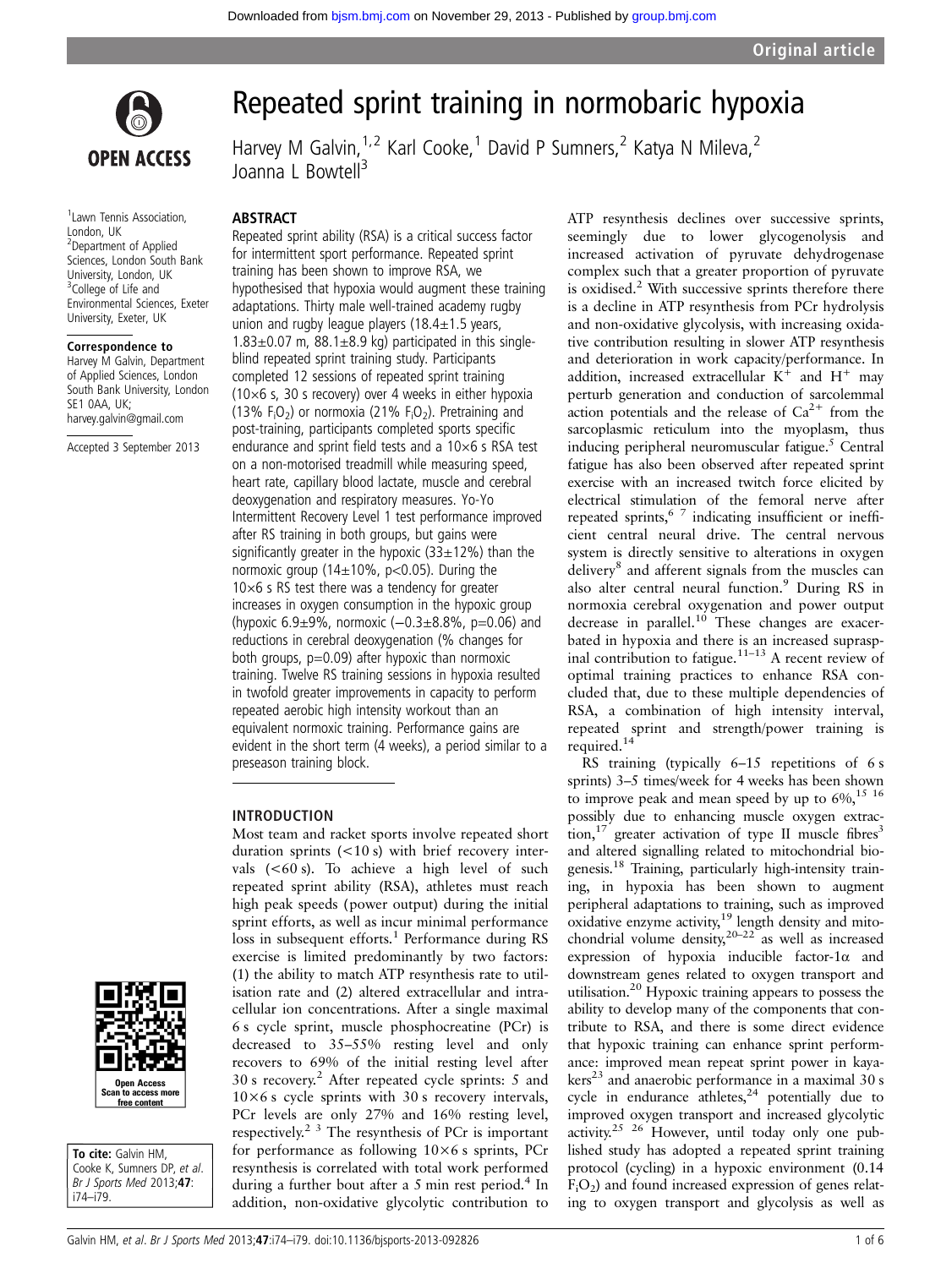

<sup>1</sup> Lawn Tennis Association, London, UK 2 Department of Applied Sciences, London South Bank University, London, UK <sup>3</sup>College of Life and Environmental Sciences, Exeter University, Exeter, UK

#### Correspondence to

Harvey M Galvin, Department of Applied Sciences, London South Bank University, London SE1 0AA, UK; harvey.galvin@gmail.com

Accepted 3 September 2013



Harvey M Galvin,  $1.2$  Karl Cooke, <sup>1</sup> David P Sumners, <sup>2</sup> Katya N Mileva, <sup>2</sup> Joanna L Bowtell<sup>3</sup>

#### ABSTRACT

Repeated sprint ability (RSA) is a critical success factor for intermittent sport performance. Repeated sprint training has been shown to improve RSA, we hypothesised that hypoxia would augment these training adaptations. Thirty male well-trained academy rugby union and rugby league players ( $18.4 \pm 1.5$  years,  $1.83\pm0.07$  m,  $88.1\pm8.9$  kg) participated in this singleblind repeated sprint training study. Participants completed 12 sessions of repeated sprint training (10×6 s, 30 s recovery) over 4 weeks in either hypoxia (13%  $F_1O_2$ ) or normoxia (21%  $F_1O_2$ ). Pretraining and post-training, participants completed sports specific endurance and sprint field tests and a 10×6 s RSA test on a non-motorised treadmill while measuring speed, heart rate, capillary blood lactate, muscle and cerebral deoxygenation and respiratory measures. Yo-Yo Intermittent Recovery Level 1 test performance improved after RS training in both groups, but gains were significantly greater in the hypoxic  $(33\pm12\%)$  than the normoxic group ( $14\pm10\%$ , p<0.05). During the  $10\times6$  s RS test there was a tendency for greater increases in oxygen consumption in the hypoxic group (hypoxic 6.9±9%, normoxic (−0.3±8.8%, p=0.06) and reductions in cerebral deoxygenation (% changes for both groups,  $p=0.09$ ) after hypoxic than normoxic training. Twelve RS training sessions in hypoxia resulted in twofold greater improvements in capacity to perform repeated aerobic high intensity workout than an equivalent normoxic training. Performance gains are evident in the short term (4 weeks), a period similar to a preseason training block.

Most team and racket sports involve repeated short duration sprints (<10 s) with brief recovery intervals  $(<60 s$ ). To achieve a high level of suchrepeated sprint ability (RSA), athletes must reach high peak speeds (power output) during the initial sprint efforts, as well as incur minimal performance loss in subsequent efforts.<sup>1</sup> Performance during RS exercise is limited predominantly by two factors: (1) the ability to match ATP resynthesis rate to utilisation rate and (2) altered extracellular and intracellular ion concentrations. After a single maximal 6 s cycle sprint, muscle phosphocreatine (PCr) is decreased to 35–55% resting level and only recovers to 69% of the initial resting level after 30 s recovery.<sup>2</sup> After repeated cycle sprints: 5 and  $10\times6$  s cycle sprints with 30 s recovery intervals, PCr levels are only 27% and 16% resting level, respectively.2 3 The resynthesis of PCr is important for performance as following 10×6 s sprints, PCr resynthesis is correlated with total work performed during a further bout after a 5 min rest period.<sup>4</sup> In addition, non-oxidative glycolytic contribution to

## INTRODUCTION



To cite: Galvin HM. Cooke K, Sumners DP, et al. Br J Sports Med 2013;47: i74–i79.

ATP resynthesis declines over successive sprints, seemingly due to lower glycogenolysis and increased activation of pyruvate dehydrogenase complex such that a greater proportion of pyruvate is oxidised. $2$  With successive sprints therefore there is a decline in ATP resynthesis from PCr hydrolysis and non-oxidative glycolysis, with increasing oxidative contribution resulting in slower ATP resynthesis and deterioration in work capacity/performance. In addition, increased extracellular  $K^+$  and  $H^+$  may perturb generation and conduction of sarcolemmal action potentials and the release of  $Ca^{2+}$  from the sarcoplasmic reticulum into the myoplasm, thus inducing peripheral neuromuscular fatigue.<sup>5</sup> Central fatigue has also been observed after repeated sprint exercise with an increased twitch force elicited by electrical stimulation of the femoral nerve after repeated sprints,  $67$  indicating insufficient or inefficient central neural drive. The central nervous system is directly sensitive to alterations in oxygen delivery<sup>8</sup> and afferent signals from the muscles can also alter central neural function.<sup>9</sup> During RS in normoxia cerebral oxygenation and power output decrease in parallel.<sup>10</sup> These changes are exacerbated in hypoxia and there is an increased supraspinal contribution to fatigue.<sup>11-13</sup> A recent review of optimal training practices to enhance RSA concluded that, due to these multiple dependencies of RSA, a combination of high intensity interval, repeated sprint and strength/power training is required.14

RS training (typically 6–15 repetitions of 6 s sprints) 3–5 times/week for 4 weeks has been shown to improve peak and mean speed by up to  $6\%$ ,<sup>15 16</sup> possibly due to enhancing muscle oxygen extraction,<sup>17</sup> greater activation of type II muscle fibres<sup>3</sup> and altered signalling related to mitochondrial biogenesis.18 Training, particularly high-intensity training, in hypoxia has been shown to augment peripheral adaptations to training, such as improved oxidative enzyme activity, $19$  length density and mitochondrial volume density,  $20-22$  as well as increased expression of hypoxia inducible factor-1 $\alpha$  and downstream genes related to oxygen transport and utilisation.<sup>20</sup> Hypoxic training appears to possess the ability to develop many of the components that contribute to RSA, and there is some direct evidence that hypoxic training can enhance sprint performance: improved mean repeat sprint power in kaya $kers<sup>23</sup>$  and anaerobic performance in a maximal 30 s cycle in endurance athletes,<sup>24</sup> potentially due to improved oxygen transport and increased glycolytic activity.<sup>25 26</sup> However, until today only one published study has adopted a repeated sprint training protocol (cycling) in a hypoxic environment (0.14  $F<sub>i</sub>O<sub>2</sub>$ ) and found increased expression of genes relating to oxygen transport and glycolysis as well as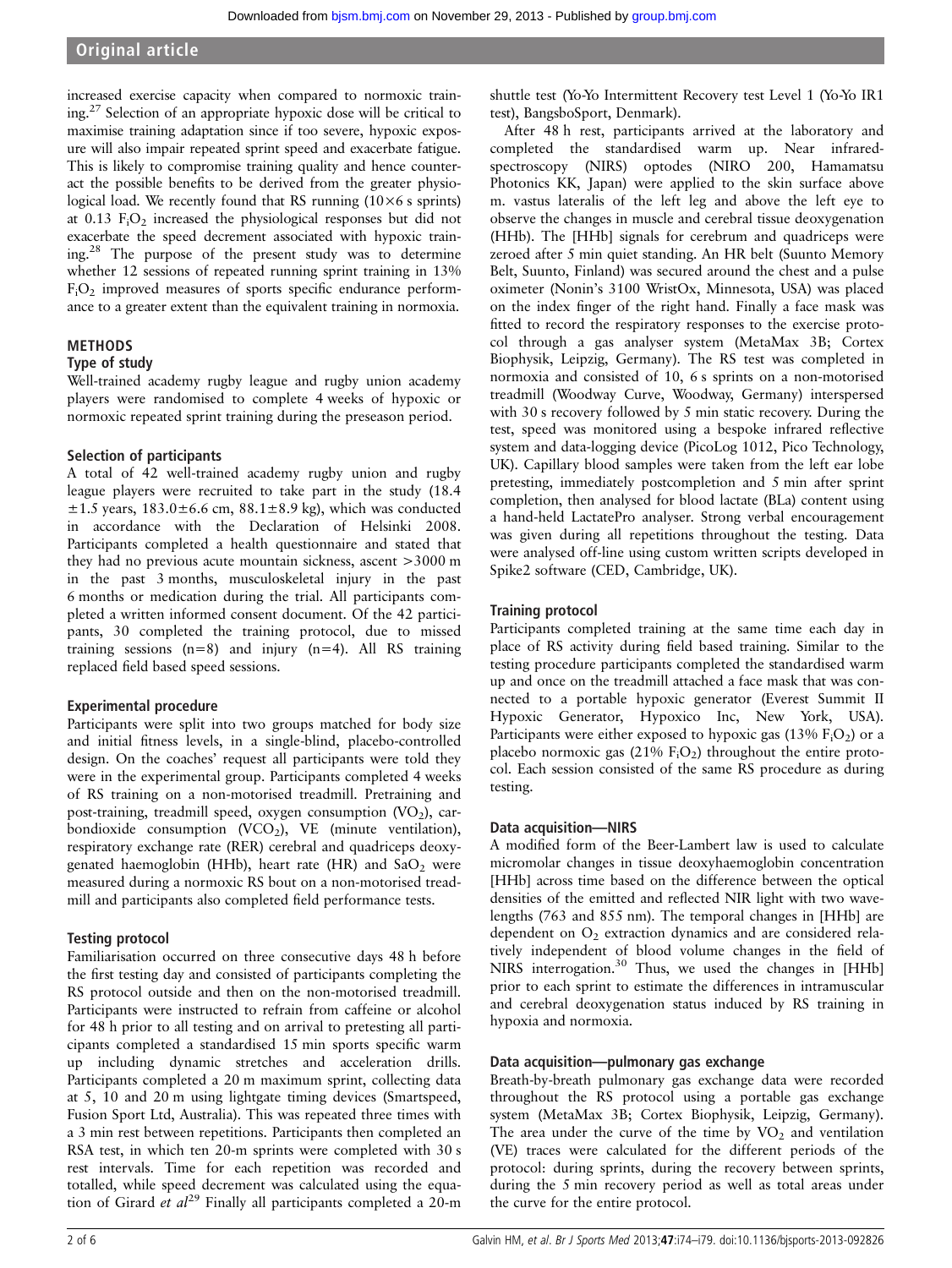# Original article

increased exercise capacity when compared to normoxic training.27 Selection of an appropriate hypoxic dose will be critical to maximise training adaptation since if too severe, hypoxic exposure will also impair repeated sprint speed and exacerbate fatigue. This is likely to compromise training quality and hence counteract the possible benefits to be derived from the greater physiological load. We recently found that RS running  $(10\times6 s)$  sprints) at  $0.13$  F<sub>i</sub>O<sub>2</sub> increased the physiological responses but did not exacerbate the speed decrement associated with hypoxic training.28 The purpose of the present study was to determine whether 12 sessions of repeated running sprint training in 13%  $F_iO_2$  improved measures of sports specific endurance performance to a greater extent than the equivalent training in normoxia.

# METHODS

# Type of study

Well-trained academy rugby league and rugby union academy players were randomised to complete 4 weeks of hypoxic or normoxic repeated sprint training during the preseason period.

# Selection of participants

A total of 42 well-trained academy rugby union and rugby league players were recruited to take part in the study (18.4  $\pm 1.5$  years,  $183.0 \pm 6.6$  cm,  $88.1 \pm 8.9$  kg), which was conducted in accordance with the Declaration of Helsinki 2008. Participants completed a health questionnaire and stated that they had no previous acute mountain sickness, ascent >3000 m in the past 3 months, musculoskeletal injury in the past 6 months or medication during the trial. All participants completed a written informed consent document. Of the 42 participants, 30 completed the training protocol, due to missed training sessions  $(n=8)$  and injury  $(n=4)$ . All RS training replaced field based speed sessions.

# Experimental procedure

Participants were split into two groups matched for body size and initial fitness levels, in a single-blind, placebo-controlled design. On the coaches' request all participants were told they were in the experimental group. Participants completed 4 weeks of RS training on a non-motorised treadmill. Pretraining and post-training, treadmill speed, oxygen consumption  $(VO<sub>2</sub>)$ , carbondioxide consumption  $(VCO<sub>2</sub>)$ , VE (minute ventilation), respiratory exchange rate (RER) cerebral and quadriceps deoxygenated haemoglobin (HHb), heart rate (HR) and  $SaO<sub>2</sub>$  were measured during a normoxic RS bout on a non-motorised treadmill and participants also completed field performance tests.

# Testing protocol

Familiarisation occurred on three consecutive days 48 h before the first testing day and consisted of participants completing the RS protocol outside and then on the non-motorised treadmill. Participants were instructed to refrain from caffeine or alcohol for 48 h prior to all testing and on arrival to pretesting all participants completed a standardised 15 min sports specific warm up including dynamic stretches and acceleration drills. Participants completed a 20 m maximum sprint, collecting data at 5, 10 and 20 m using lightgate timing devices (Smartspeed, Fusion Sport Ltd, Australia). This was repeated three times with a 3 min rest between repetitions. Participants then completed an RSA test, in which ten 20-m sprints were completed with 30 s rest intervals. Time for each repetition was recorded and totalled, while speed decrement was calculated using the equation of Girard et  $al^{29}$  Finally all participants completed a 20-m

shuttle test (Yo-Yo Intermittent Recovery test Level 1 (Yo-Yo IR1 test), BangsboSport, Denmark).

After 48 h rest, participants arrived at the laboratory and completed the standardised warm up. Near infraredspectroscopy (NIRS) optodes (NIRO 200, Hamamatsu Photonics KK, Japan) were applied to the skin surface above m. vastus lateralis of the left leg and above the left eye to observe the changes in muscle and cerebral tissue deoxygenation (HHb). The [HHb] signals for cerebrum and quadriceps were zeroed after 5 min quiet standing. An HR belt (Suunto Memory Belt, Suunto, Finland) was secured around the chest and a pulse oximeter (Nonin's 3100 WristOx, Minnesota, USA) was placed on the index finger of the right hand. Finally a face mask was fitted to record the respiratory responses to the exercise protocol through a gas analyser system (MetaMax 3B; Cortex Biophysik, Leipzig, Germany). The RS test was completed in normoxia and consisted of 10, 6 s sprints on a non-motorised treadmill (Woodway Curve, Woodway, Germany) interspersed with 30 s recovery followed by 5 min static recovery. During the test, speed was monitored using a bespoke infrared reflective system and data-logging device (PicoLog 1012, Pico Technology, UK). Capillary blood samples were taken from the left ear lobe pretesting, immediately postcompletion and 5 min after sprint completion, then analysed for blood lactate (BLa) content using a hand-held LactatePro analyser. Strong verbal encouragement was given during all repetitions throughout the testing. Data were analysed off-line using custom written scripts developed in Spike2 software (CED, Cambridge, UK).

# Training protocol

Participants completed training at the same time each day in place of RS activity during field based training. Similar to the testing procedure participants completed the standardised warm up and once on the treadmill attached a face mask that was connected to a portable hypoxic generator (Everest Summit II Hypoxic Generator, Hypoxico Inc, New York, USA). Participants were either exposed to hypoxic gas  $(13\%$   $F_1O_2)$  or a placebo normoxic gas  $(21\% \text{ F}_{i}O_{2})$  throughout the entire protocol. Each session consisted of the same RS procedure as during testing.

# Data acquisition—NIRS

A modified form of the Beer-Lambert law is used to calculate micromolar changes in tissue deoxyhaemoglobin concentration [HHb] across time based on the difference between the optical densities of the emitted and reflected NIR light with two wavelengths (763 and 855 nm). The temporal changes in [HHb] are dependent on  $O<sub>2</sub>$  extraction dynamics and are considered relatively independent of blood volume changes in the field of NIRS interrogation.<sup>30</sup> Thus, we used the changes in [HHb] prior to each sprint to estimate the differences in intramuscular and cerebral deoxygenation status induced by RS training in hypoxia and normoxia.

## Data acquisition—pulmonary gas exchange

Breath-by-breath pulmonary gas exchange data were recorded throughout the RS protocol using a portable gas exchange system (MetaMax 3B; Cortex Biophysik, Leipzig, Germany). The area under the curve of the time by  $VO<sub>2</sub>$  and ventilation (VE) traces were calculated for the different periods of the protocol: during sprints, during the recovery between sprints, during the 5 min recovery period as well as total areas under the curve for the entire protocol.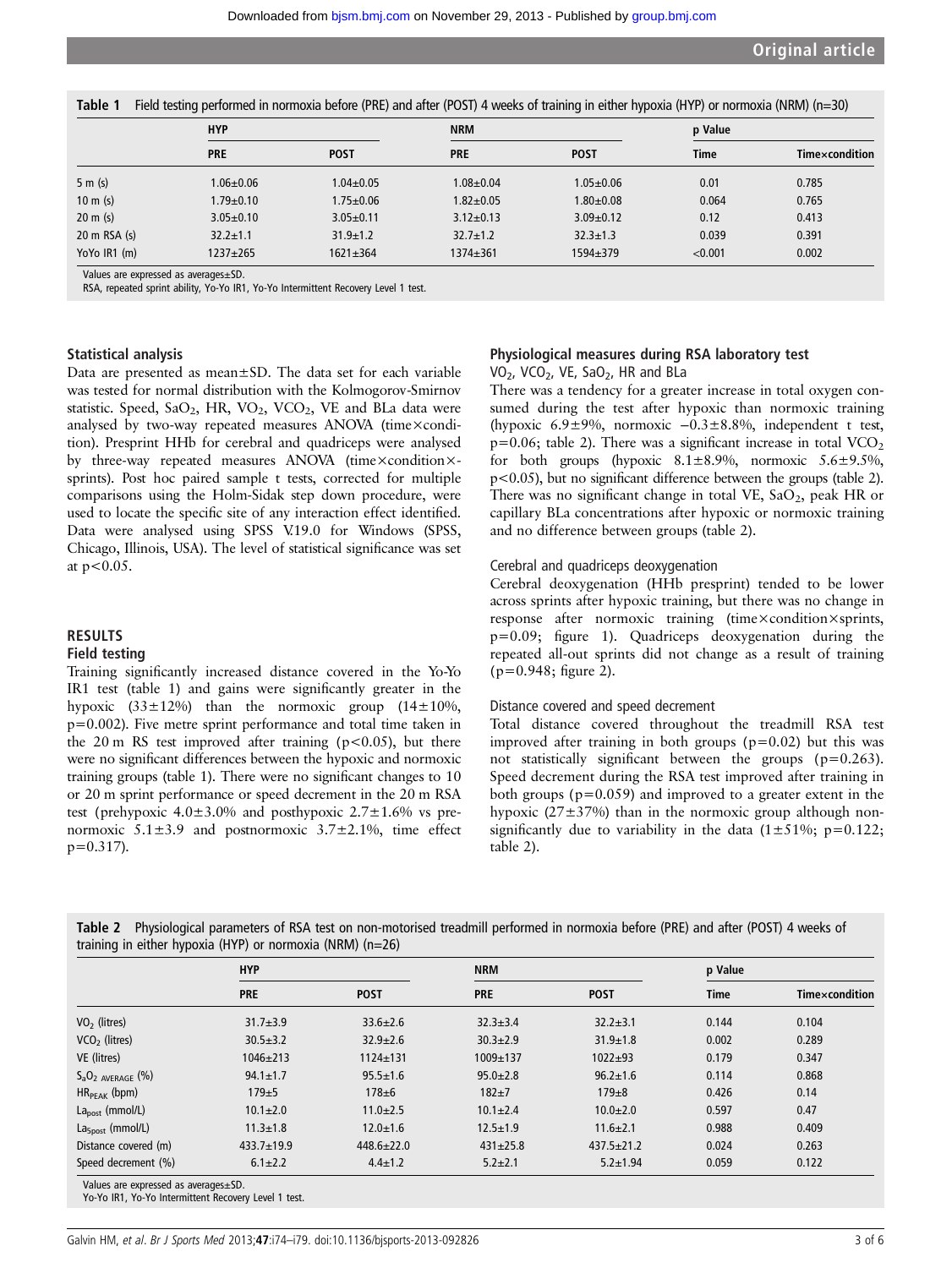|                          | <b>HYP</b>      |                 | <b>NRM</b>      |                 | p Value     |                |
|--------------------------|-----------------|-----------------|-----------------|-----------------|-------------|----------------|
|                          | <b>PRE</b>      | <b>POST</b>     | <b>PRE</b>      | <b>POST</b>     | <b>Time</b> | Timexcondition |
| 5 m(s)                   | $1.06 \pm 0.06$ | $1.04 \pm 0.05$ | $1.08 + 0.04$   | $1.05 + 0.06$   | 0.01        | 0.785          |
| $10 \text{ m}$ (s)       | $1.79 \pm 0.10$ | $1.75 \pm 0.06$ | $1.82 + 0.05$   | $1.80 + 0.08$   | 0.064       | 0.765          |
| $20 \text{ m}$ (s)       | $3.05 \pm 0.10$ | $3.05 \pm 0.11$ | $3.12 \pm 0.13$ | $3.09 \pm 0.12$ | 0.12        | 0.413          |
| $20 \text{ m}$ RSA $(s)$ | $32.2 \pm 1.1$  | $31.9 \pm 1.2$  | $32.7 \pm 1.2$  | $32.3 \pm 1.3$  | 0.039       | 0.391          |
| YoYo IR1 (m)             | 1237±265        | $1621 \pm 364$  | $1374 \pm 361$  | 1594±379        | < 0.001     | 0.002          |

Values are expressed as averages±SD.

RSA, repeated sprint ability, Yo-Yo IR1, Yo-Yo Intermittent Recovery Level 1 test.

## Statistical analysis

Data are presented as mean±SD. The data set for each variable was tested for normal distribution with the Kolmogorov-Smirnov statistic. Speed,  $SaO_2$ , HR,  $VO_2$ ,  $VCO_2$ , VE and BLa data were analysed by two-way repeated measures ANOVA (time×condition). Presprint HHb for cerebral and quadriceps were analysed by three-way repeated measures ANOVA (time×condition×sprints). Post hoc paired sample t tests, corrected for multiple comparisons using the Holm-Sidak step down procedure, were used to locate the specific site of any interaction effect identified. Data were analysed using SPSS V.19.0 for Windows (SPSS, Chicago, Illinois, USA). The level of statistical significance was set at  $p < 0.05$ .

#### **RESULTS**

## Field testing

Training significantly increased distance covered in the Yo-Yo IR1 test (table 1) and gains were significantly greater in the hypoxic  $(33\pm12\%)$  than the normoxic group  $(14\pm10\%)$ , p=0.002). Five metre sprint performance and total time taken in the 20 m RS test improved after training ( $p < 0.05$ ), but there were no significant differences between the hypoxic and normoxic training groups (table 1). There were no significant changes to 10 or 20 m sprint performance or speed decrement in the 20 m RSA test (prehypoxic  $4.0 \pm 3.0\%$  and posthypoxic  $2.7 \pm 1.6\%$  vs prenormoxic  $5.1 \pm 3.9$  and postnormoxic  $3.7 \pm 2.1$ %, time effect  $p=0.317$ ).

## Physiological measures during RSA laboratory test VO<sub>2</sub>, VCO<sub>2</sub>, VE, SaO<sub>2</sub>, HR and BLa

There was a tendency for a greater increase in total oxygen consumed during the test after hypoxic than normoxic training (hypoxic 6.9±9%, normoxic −0.3±8.8%, independent t test,  $p=0.06$ ; table 2). There was a significant increase in total VCO<sub>2</sub> for both groups (hypoxic  $8.1 \pm 8.9\%$ , normoxic  $5.6 \pm 9.5\%$ , p<0.05), but no significant difference between the groups (table 2). There was no significant change in total VE,  $SaO<sub>2</sub>$ , peak HR or capillary BLa concentrations after hypoxic or normoxic training and no difference between groups (table 2).

#### Cerebral and quadriceps deoxygenation

Cerebral deoxygenation (HHb presprint) tended to be lower across sprints after hypoxic training, but there was no change in response after normoxic training (time×condition×sprints, p=0.09; figure 1). Quadriceps deoxygenation during the repeated all-out sprints did not change as a result of training (p=0.948; figure 2).

#### Distance covered and speed decrement

Total distance covered throughout the treadmill RSA test improved after training in both groups  $(p=0.02)$  but this was not statistically significant between the groups (p=0.263). Speed decrement during the RSA test improved after training in both groups ( $p=0.059$ ) and improved to a greater extent in the hypoxic (27±37%) than in the normoxic group although nonsignificantly due to variability in the data  $(1\pm51\%; p=0.122;$ table 2).

|                           | <b>HYP</b>       |                  | <b>NRM</b>     |                  | p Value     |                |
|---------------------------|------------------|------------------|----------------|------------------|-------------|----------------|
|                           | <b>PRE</b>       | <b>POST</b>      | <b>PRE</b>     | <b>POST</b>      | <b>Time</b> | Timexcondition |
| $VO2$ (litres)            | $31.7 \pm 3.9$   | $33.6 \pm 2.6$   | $32.3 \pm 3.4$ | $32.2 \pm 3.1$   | 0.144       | 0.104          |
| VCO <sub>2</sub> (litres) | $30.5 \pm 3.2$   | $32.9 \pm 2.6$   | $30.3 \pm 2.9$ | $31.9 \pm 1.8$   | 0.002       | 0.289          |
| VE (litres)               | $1046 \pm 213$   | $1124 + 131$     | 1009±137       | $1022 + 93$      | 0.179       | 0.347          |
| $S_aO_2$ AVERAGE $(\%)$   | $94.1 \pm 1.7$   | $95.5 \pm 1.6$   | $95.0 \pm 2.8$ | $96.2 \pm 1.6$   | 0.114       | 0.868          |
| $HR_{PFAK}$ (bpm)         | $179 + 5$        | $178 + 6$        | $182 + 7$      | $179 + 8$        | 0.426       | 0.14           |
| $Lapost$ (mmol/L)         | $10.1 \pm 2.0$   | $11.0 \pm 2.5$   | $10.1 \pm 2.4$ | $10.0 + 2.0$     | 0.597       | 0.47           |
| $La5post$ (mmol/L)        | $11.3 \pm 1.8$   | $12.0 \pm 1.6$   | $12.5 \pm 1.9$ | $11.6 \pm 2.1$   | 0.988       | 0.409          |
| Distance covered (m)      | $433.7 \pm 19.9$ | $448.6 \pm 22.0$ | $431 \pm 25.8$ | $437.5 \pm 21.2$ | 0.024       | 0.263          |
| Speed decrement (%)       | $6.1 \pm 2.2$    | $4.4 \pm 1.2$    | $5.2 \pm 2.1$  | $5.2 \pm 1.94$   | 0.059       | 0.122          |

Table 2 Physiological parameters of RSA test on non-motorised treadmill performed in normoxia before (PRE) and after (POST) 4 weeks of  $t_{\text{minmax}}$  in either hypoxia (HYP) or normoxia (NRM) (n=26)

Values are expressed as averages±SD.

Yo-Yo IR1, Yo-Yo Intermittent Recovery Level 1 test.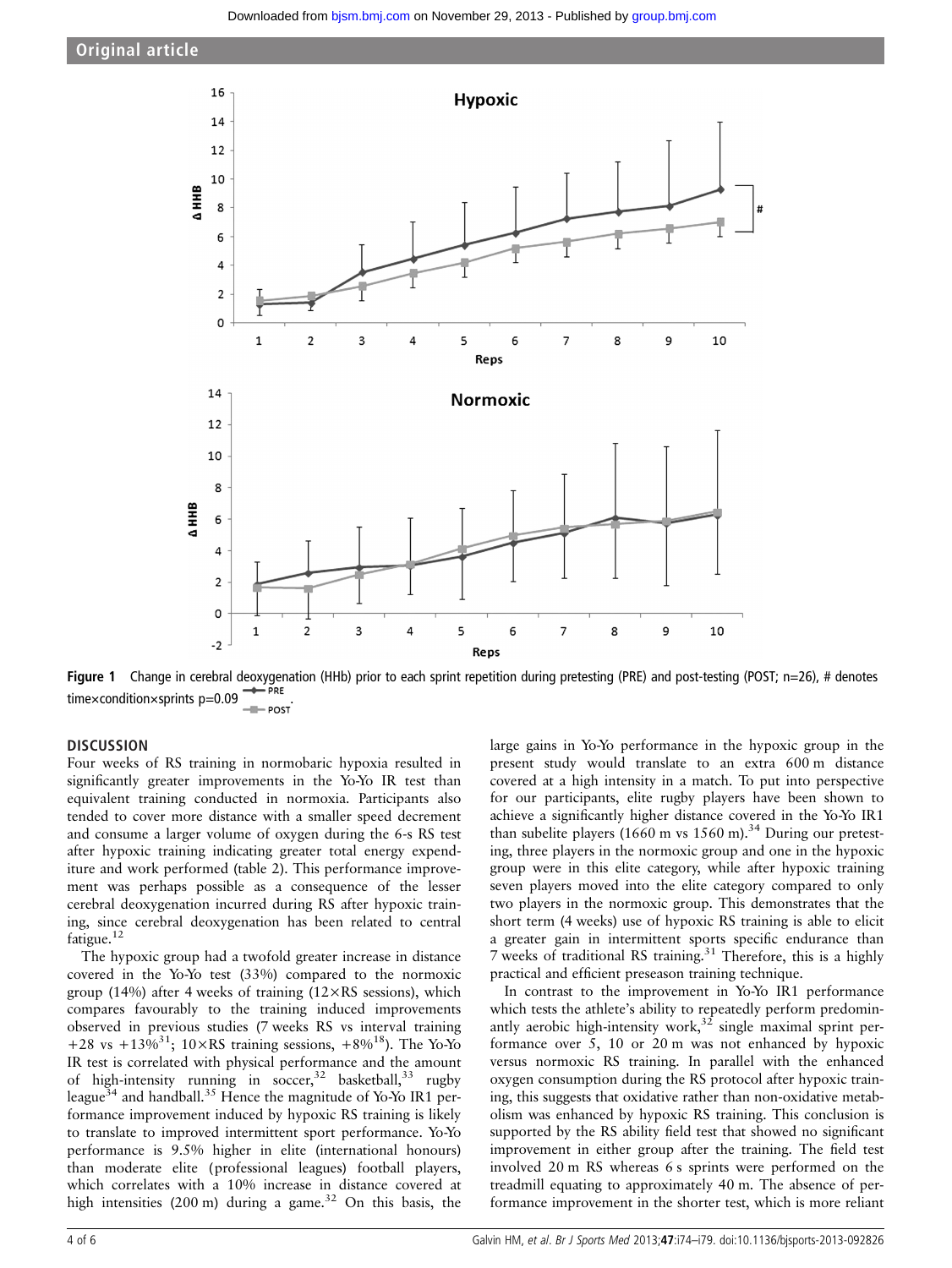



Figure 1 Change in cerebral deoxygenation (HHb) prior to each sprint repetition during pretesting (PRE) and post-testing (POST; n=26), # denotes time×condition×sprints p=0.09

# **DISCUSSION**

Four weeks of RS training in normobaric hypoxia resulted in significantly greater improvements in the Yo-Yo IR test than equivalent training conducted in normoxia. Participants also tended to cover more distance with a smaller speed decrement and consume a larger volume of oxygen during the 6-s RS test after hypoxic training indicating greater total energy expenditure and work performed (table 2). This performance improvement was perhaps possible as a consequence of the lesser cerebral deoxygenation incurred during RS after hypoxic training, since cerebral deoxygenation has been related to central fatigue.<sup>12</sup>

The hypoxic group had a twofold greater increase in distance covered in the Yo-Yo test (33%) compared to the normoxic group (14%) after 4 weeks of training ( $12 \times RS$  sessions), which compares favourably to the training induced improvements observed in previous studies (7 weeks RS vs interval training +28 vs +13%<sup>31</sup>; 10×RS training sessions, +8%<sup>18</sup>). The Yo-Yo IR test is correlated with physical performance and the amount of high-intensity running in soccer,<sup>32</sup> basketball,<sup>33</sup> rugby league<sup>34</sup> and handball.<sup>35</sup> Hence the magnitude of Yo-Yo IR1 performance improvement induced by hypoxic RS training is likely to translate to improved intermittent sport performance. Yo-Yo performance is 9.5% higher in elite (international honours) than moderate elite (professional leagues) football players, which correlates with a 10% increase in distance covered at high intensities  $(200 \text{ m})$  during a game.<sup>32</sup> On this basis, the

large gains in Yo-Yo performance in the hypoxic group in the present study would translate to an extra 600 m distance covered at a high intensity in a match. To put into perspective for our participants, elite rugby players have been shown to achieve a significantly higher distance covered in the Yo-Yo IR1 than subelite players (1660 m vs  $1560$  m).<sup>34</sup> During our pretesting, three players in the normoxic group and one in the hypoxic group were in this elite category, while after hypoxic training seven players moved into the elite category compared to only two players in the normoxic group. This demonstrates that the short term (4 weeks) use of hypoxic RS training is able to elicit a greater gain in intermittent sports specific endurance than 7 weeks of traditional RS training.<sup>31</sup> Therefore, this is a highly practical and efficient preseason training technique.

In contrast to the improvement in Yo-Yo IR1 performance which tests the athlete's ability to repeatedly perform predominantly aerobic high-intensity work,  $32$  single maximal sprint performance over 5, 10 or 20 m was not enhanced by hypoxic versus normoxic RS training. In parallel with the enhanced oxygen consumption during the RS protocol after hypoxic training, this suggests that oxidative rather than non-oxidative metabolism was enhanced by hypoxic RS training. This conclusion is supported by the RS ability field test that showed no significant improvement in either group after the training. The field test involved 20 m RS whereas 6 s sprints were performed on the treadmill equating to approximately 40 m. The absence of performance improvement in the shorter test, which is more reliant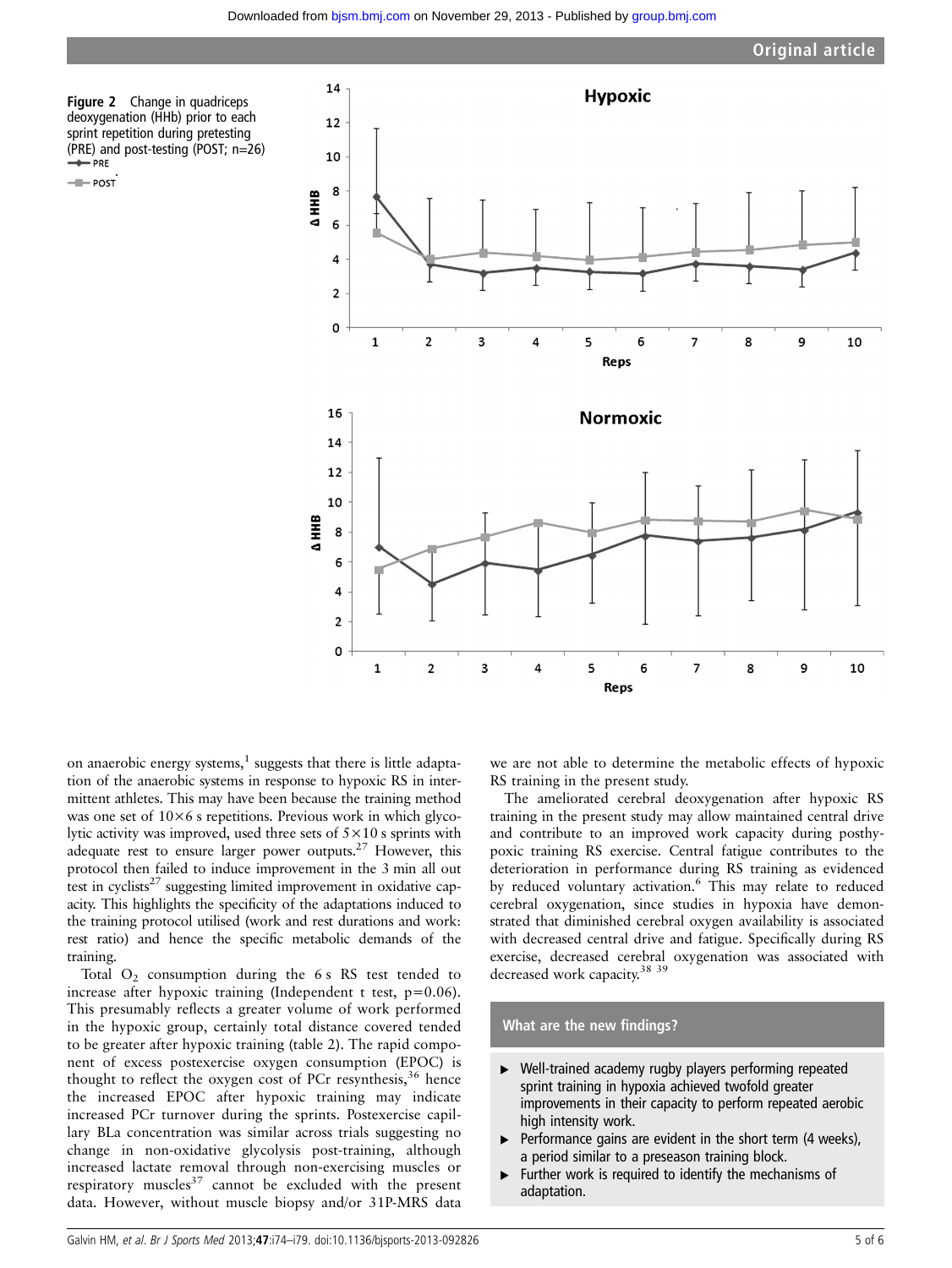Figure 2 Change in quadriceps deoxygenation (HHb) prior to each sprint repetition during pretesting (PRE) and post-testing (POST; n=26)

- POST



on anaerobic energy systems, $<sup>1</sup>$  suggests that there is little adapta-</sup> tion of the anaerobic systems in response to hypoxic RS in intermittent athletes. This may have been because the training method was one set of  $10\times6$  s repetitions. Previous work in which glycolytic activity was improved, used three sets of 5×10 s sprints with adequate rest to ensure larger power outputs.27 However, this protocol then failed to induce improvement in the 3 min all out test in cyclists<sup>27</sup> suggesting limited improvement in oxidative capacity. This highlights the specificity of the adaptations induced to the training protocol utilised (work and rest durations and work: rest ratio) and hence the specific metabolic demands of the training.

Total  $O_2$  consumption during the 6 s RS test tended to increase after hypoxic training (Independent t test, p=0.06). This presumably reflects a greater volume of work performed in the hypoxic group, certainly total distance covered tended to be greater after hypoxic training (table 2). The rapid component of excess postexercise oxygen consumption (EPOC) is thought to reflect the oxygen cost of PCr resynthesis,  $36$  hence the increased EPOC after hypoxic training may indicate increased PCr turnover during the sprints. Postexercise capillary BLa concentration was similar across trials suggesting no change in non-oxidative glycolysis post-training, although increased lactate removal through non-exercising muscles or respiratory muscles<sup>37</sup> cannot be excluded with the present data. However, without muscle biopsy and/or 31P-MRS data

we are not able to determine the metabolic effects of hypoxic RS training in the present study.

The ameliorated cerebral deoxygenation after hypoxic RS training in the present study may allow maintained central drive and contribute to an improved work capacity during posthypoxic training RS exercise. Central fatigue contributes to the deterioration in performance during RS training as evidenced by reduced voluntary activation.<sup>6</sup> This may relate to reduced cerebral oxygenation, since studies in hypoxia have demonstrated that diminished cerebral oxygen availability is associated with decreased central drive and fatigue. Specifically during RS exercise, decreased cerebral oxygenation was associated with decreased work capacity.<sup>38</sup> <sup>39</sup>

## What are the new findings?

- ▸ Well-trained academy rugby players performing repeated sprint training in hypoxia achieved twofold greater improvements in their capacity to perform repeated aerobic high intensity work.
- $\blacktriangleright$  Performance gains are evident in the short term (4 weeks), a period similar to a preseason training block.
- ▸ Further work is required to identify the mechanisms of adaptation.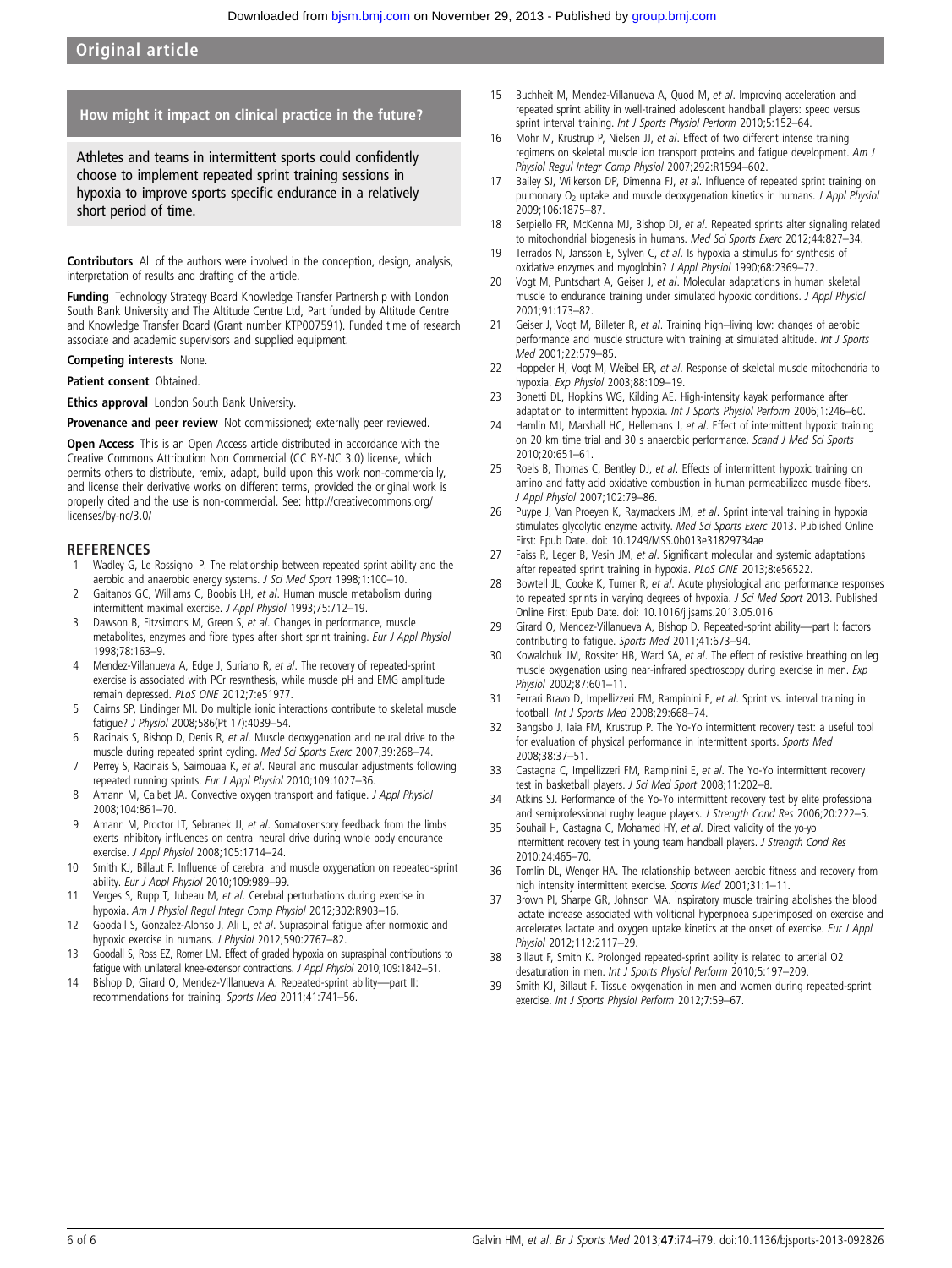# Original article

## How might it impact on clinical practice in the future?

Athletes and teams in intermittent sports could confidently choose to implement repeated sprint training sessions in hypoxia to improve sports specific endurance in a relatively short period of time.

Contributors All of the authors were involved in the conception, design, analysis, interpretation of results and drafting of the article.

Funding Technology Strategy Board Knowledge Transfer Partnership with London South Bank University and The Altitude Centre Ltd, Part funded by Altitude Centre and Knowledge Transfer Board (Grant number KTP007591). Funded time of research associate and academic supervisors and supplied equipment.

#### Competing interests None.

Patient consent Obtained.

**Ethics approval** London South Bank University.

#### Provenance and peer review Not commissioned; externally peer reviewed.

Open Access This is an Open Access article distributed in accordance with the Creative Commons Attribution Non Commercial (CC BY-NC 3.0) license, which permits others to distribute, remix, adapt, build upon this work non-commercially, and license their derivative works on different terms, provided the original work is properly cited and the use is non-commercial. See: [http://creativecommons.org/](http://creativecommons.org/licenses/by-nc/3.0/) [licenses/by-nc/3.0/](http://creativecommons.org/licenses/by-nc/3.0/)

#### **REFERENCES**

- Wadley G, Le Rossignol P. The relationship between repeated sprint ability and the aerobic and anaerobic energy systems. J Sci Med Sport 1998;1:100-10.
- 2 Gaitanos GC, Williams C, Boobis LH, et al. Human muscle metabolism during intermittent maximal exercise. J Appl Physiol 1993;75:712–19.
- 3 Dawson B, Fitzsimons M, Green S, et al. Changes in performance, muscle metabolites, enzymes and fibre types after short sprint training. Eur J Appl Physiol 1998;78:163–9.
- 4 Mendez-Villanueva A, Edge J, Suriano R, et al. The recovery of repeated-sprint exercise is associated with PCr resynthesis, while muscle pH and EMG amplitude remain depressed. PLoS ONE 2012;7:e51977.
- 5 Cairns SP, Lindinger MI. Do multiple ionic interactions contribute to skeletal muscle fatigue? J Physiol 2008;586(Pt 17):4039–54.
- 6 Racinais S, Bishop D, Denis R, et al. Muscle deoxygenation and neural drive to the muscle during repeated sprint cycling. Med Sci Sports Exerc 2007;39:268–74.
- 7 Perrey S, Racinais S, Saimouaa K, et al. Neural and muscular adjustments following repeated running sprints. Eur J Appl Physiol 2010;109:1027–36.
- 8 Amann M, Calbet JA. Convective oxygen transport and fatigue. J Appl Physiol 2008;104:861–70.
- 9 Amann M, Proctor LT, Sebranek JJ, et al. Somatosensory feedback from the limbs exerts inhibitory influences on central neural drive during whole body endurance exercise. J Appl Physiol 2008;105:1714–24.
- 10 Smith KJ, Billaut F. Influence of cerebral and muscle oxygenation on repeated-sprint ability. Eur J Appl Physiol 2010;109:989-99.
- 11 Verges S, Rupp T, Jubeau M, et al. Cerebral perturbations during exercise in hypoxia. Am J Physiol Regul Integr Comp Physiol 2012;302:R903–16.
- 12 Goodall S, Gonzalez-Alonso J, Ali L, et al. Supraspinal fatigue after normoxic and hypoxic exercise in humans. J Physiol 2012;590:2767-82.
- 13 Goodall S, Ross EZ, Romer LM. Effect of graded hypoxia on supraspinal contributions to fatigue with unilateral knee-extensor contractions. J Appl Physiol 2010;109:1842–51.
- 14 Bishop D, Girard O, Mendez-Villanueva A. Repeated-sprint ability—part II: recommendations for training. Sports Med 2011;41:741–56.
- 15 Buchheit M, Mendez-Villanueva A, Quod M, et al. Improving acceleration and repeated sprint ability in well-trained adolescent handball players: speed versus sprint interval training. Int J Sports Physiol Perform 2010;5:152-64.
- 16 Mohr M, Krustrup P, Nielsen JJ, et al. Effect of two different intense training regimens on skeletal muscle ion transport proteins and fatigue development. Am J Physiol Regul Integr Comp Physiol 2007;292:R1594–602.
- Bailey SJ, Wilkerson DP, Dimenna FJ, et al. Influence of repeated sprint training on pulmonary O<sub>2</sub> uptake and muscle deoxygenation kinetics in humans. J Appl Physiol 2009;106:1875–87.
- 18 Serpiello FR, McKenna MJ, Bishop DJ, et al. Repeated sprints alter signaling related to mitochondrial biogenesis in humans. Med Sci Sports Exerc 2012;44:827-34.
- 19 Terrados N, Jansson E, Sylven C, et al. Is hypoxia a stimulus for synthesis of oxidative enzymes and myoglobin? J Appl Physiol 1990;68:2369–72.
- 20 Vogt M, Puntschart A, Geiser J, et al. Molecular adaptations in human skeletal muscle to endurance training under simulated hypoxic conditions. J Appl Physiol 2001;91:173–82.
- 21 Geiser J, Vogt M, Billeter R, et al. Training high–living low: changes of aerobic performance and muscle structure with training at simulated altitude. Int J Sports Med 2001;22:579–85.
- 22 Hoppeler H, Vogt M, Weibel ER, et al. Response of skeletal muscle mitochondria to hypoxia. Exp Physiol 2003;88:109–19.
- 23 Bonetti DL, Hopkins WG, Kilding AE. High-intensity kayak performance after adaptation to intermittent hypoxia. Int J Sports Physiol Perform 2006;1:246-60.
- 24 Hamlin MJ, Marshall HC, Hellemans J, et al. Effect of intermittent hypoxic training on 20 km time trial and 30 s anaerobic performance. Scand J Med Sci Sports 2010;20:651–61.
- Roels B, Thomas C, Bentley DJ, et al. Effects of intermittent hypoxic training on amino and fatty acid oxidative combustion in human permeabilized muscle fibers. J Appl Physiol 2007;102:79–86.
- 26 Puype J, Van Proeyen K, Raymackers JM, et al. Sprint interval training in hypoxia stimulates glycolytic enzyme activity. Med Sci Sports Exerc 2013. Published Online First: Epub Date. doi: [10.1249/MSS.0b013e31829734ae](http://dx.doi.org/10.1249/MSS.0b013e31829734ae)
- 27 Faiss R, Leger B, Vesin JM, et al. Significant molecular and systemic adaptations after repeated sprint training in hypoxia. PLoS ONE 2013;8:e56522.
- 28 Bowtell JL, Cooke K, Turner R, et al. Acute physiological and performance responses to repeated sprints in varying degrees of hypoxia. J Sci Med Sport 2013. Published Online First: Epub Date. doi: [10.1016/j.jsams.2013.05.016](http://dx.doi.org/10.1016/j.jsams.2013.05.016)
- 29 Girard O, Mendez-Villanueva A, Bishop D. Repeated-sprint ability—part I: factors contributing to fatigue. Sports Med 2011;41:673–94.
- 30 Kowalchuk JM, Rossiter HB, Ward SA, et al. The effect of resistive breathing on leg muscle oxygenation using near-infrared spectroscopy during exercise in men. Exp Physiol 2002;87:601–11.
- 31 Ferrari Bravo D, Impellizzeri FM, Rampinini E, et al. Sprint vs. interval training in football. Int J Sports Med 2008;29:668–74.
- 32 Bangsbo J, Iaia FM, Krustrup P. The Yo-Yo intermittent recovery test: a useful tool for evaluation of physical performance in intermittent sports. Sports Med 2008;38:37–51.
- 33 Castagna C, Impellizzeri FM, Rampinini E, et al. The Yo-Yo intermittent recovery test in basketball players. J Sci Med Sport 2008;11:202–8.
- 34 Atkins SJ. Performance of the Yo-Yo intermittent recovery test by elite professional and semiprofessional rugby league players. J Strength Cond Res 2006;20:222–5.
- 35 Souhail H, Castagna C, Mohamed HY, et al. Direct validity of the yo-yo intermittent recovery test in young team handball players. J Strength Cond Res 2010;24:465–70.
- 36 Tomlin DL, Wenger HA. The relationship between aerobic fitness and recovery from high intensity intermittent exercise. Sports Med 2001;31:1-11.
- 37 Brown PI, Sharpe GR, Johnson MA. Inspiratory muscle training abolishes the blood lactate increase associated with volitional hyperpnoea superimposed on exercise and accelerates lactate and oxygen uptake kinetics at the onset of exercise. Eur J Appl Physiol 2012;112:2117–29.
- 38 Billaut F, Smith K. Prolonged repeated-sprint ability is related to arterial O2 desaturation in men. Int J Sports Physiol Perform 2010;5:197–209.
- 39 Smith KJ, Billaut F. Tissue oxygenation in men and women during repeated-sprint exercise. Int J Sports Physiol Perform 2012;7:59–67.